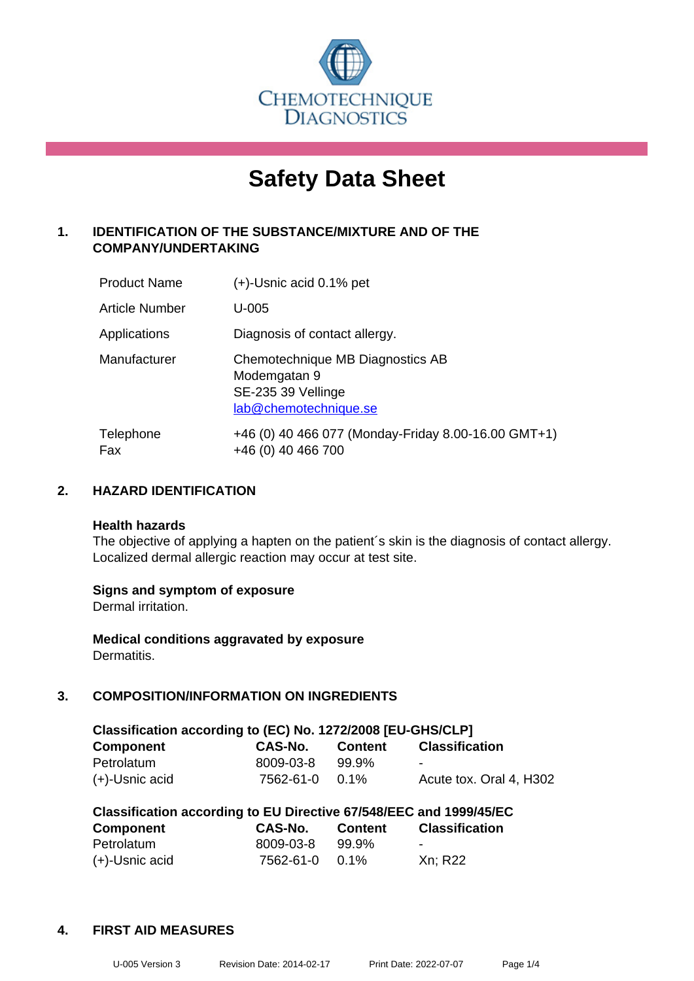

# **Safety Data Sheet**

# **1. IDENTIFICATION OF THE SUBSTANCE/MIXTURE AND OF THE COMPANY/UNDERTAKING**

| <b>Product Name</b> | $(+)$ -Usnic acid 0.1% pet                                                                      |
|---------------------|-------------------------------------------------------------------------------------------------|
| Article Number      | $U-005$                                                                                         |
| Applications        | Diagnosis of contact allergy.                                                                   |
| Manufacturer        | Chemotechnique MB Diagnostics AB<br>Modemgatan 9<br>SE-235 39 Vellinge<br>lab@chemotechnique.se |
| Telephone<br>Fax    | +46 (0) 40 466 077 (Monday-Friday 8.00-16.00 GMT+1)<br>+46 (0) 40 466 700                       |

# **2. HAZARD IDENTIFICATION**

#### **Health hazards**

The objective of applying a hapten on the patient's skin is the diagnosis of contact allergy. Localized dermal allergic reaction may occur at test site.

#### **Signs and symptom of exposure**

Dermal irritation.

**Medical conditions aggravated by exposure** Dermatitis.

# **3. COMPOSITION/INFORMATION ON INGREDIENTS**

| Classification according to (EC) No. 1272/2008 [EU-GHS/CLP] |           |                |                         |  |
|-------------------------------------------------------------|-----------|----------------|-------------------------|--|
| <b>Component</b>                                            | CAS-No.   | <b>Content</b> | <b>Classification</b>   |  |
| Petrolatum                                                  | 8009-03-8 | 99.9%          | -                       |  |
| $(+)$ -Usnic acid                                           | 7562-61-0 | $0.1\%$        | Acute tox. Oral 4, H302 |  |

| Classification according to EU Directive 67/548/EEC and 1999/45/EC |           |                |                       |  |
|--------------------------------------------------------------------|-----------|----------------|-----------------------|--|
| <b>Component</b>                                                   | CAS-No.   | <b>Content</b> | <b>Classification</b> |  |
| Petrolatum                                                         | 8009-03-8 | 99.9%          | -                     |  |
| $(+)$ -Usnic acid                                                  | 7562-61-0 | $0.1\%$        | Xn; R22               |  |

#### **4. FIRST AID MEASURES**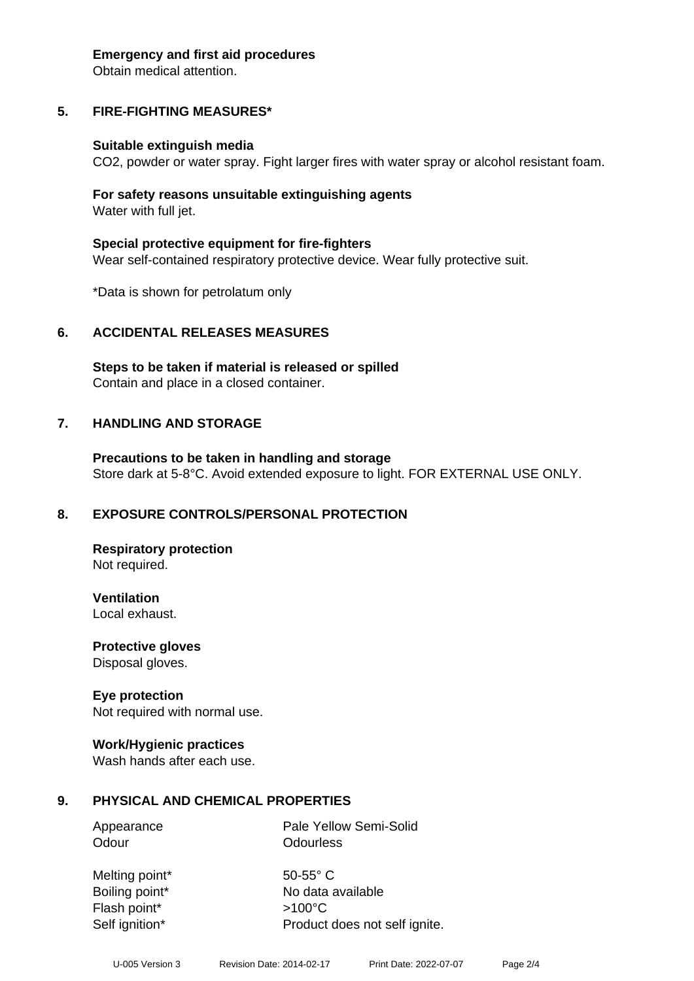#### **Emergency and first aid procedures**

Obtain medical attention.

# **5. FIRE-FIGHTING MEASURES\***

#### **Suitable extinguish media**

CO2, powder or water spray. Fight larger fires with water spray or alcohol resistant foam.

#### **For safety reasons unsuitable extinguishing agents** Water with full jet.

**Special protective equipment for fire-fighters** Wear self-contained respiratory protective device. Wear fully protective suit.

\*Data is shown for petrolatum only

#### **6. ACCIDENTAL RELEASES MEASURES**

**Steps to be taken if material is released or spilled** Contain and place in a closed container.

#### **7. HANDLING AND STORAGE**

**Precautions to be taken in handling and storage** Store dark at 5-8°C. Avoid extended exposure to light. FOR EXTERNAL USE ONLY.

#### **8. EXPOSURE CONTROLS/PERSONAL PROTECTION**

**Respiratory protection** Not required.

**Ventilation**

Local exhaust.

**Protective gloves** Disposal gloves.

#### **Eye protection**

Not required with normal use.

#### **Work/Hygienic practices**

Wash hands after each use.

#### **9. PHYSICAL AND CHEMICAL PROPERTIES**

Appearance Pale Yellow Semi-Solid Odour **Odourless** 

Melting point\* 50-55° C Flash point\* >100°C Self ignition\* Product does not self ignite.

Boiling point\* No data available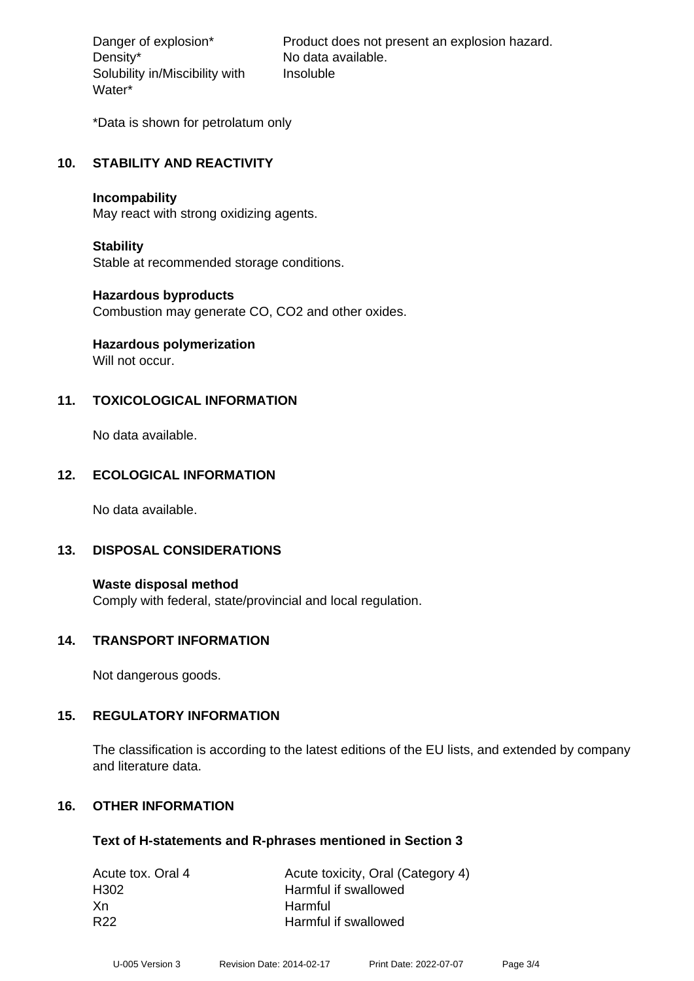Density\* No data available. Solubility in/Miscibility with Water\*

Danger of explosion\* Product does not present an explosion hazard. Insoluble

\*Data is shown for petrolatum only

#### **10. STABILITY AND REACTIVITY**

#### **Incompability**

May react with strong oxidizing agents.

#### **Stability**

Stable at recommended storage conditions.

#### **Hazardous byproducts**

Combustion may generate CO, CO2 and other oxides.

# **Hazardous polymerization**

Will not occur.

# **11. TOXICOLOGICAL INFORMATION**

No data available.

# **12. ECOLOGICAL INFORMATION**

No data available.

#### **13. DISPOSAL CONSIDERATIONS**

**Waste disposal method** Comply with federal, state/provincial and local regulation.

#### **14. TRANSPORT INFORMATION**

Not dangerous goods.

#### **15. REGULATORY INFORMATION**

The classification is according to the latest editions of the EU lists, and extended by company and literature data.

#### **16. OTHER INFORMATION**

#### **Text of H-statements and R-phrases mentioned in Section 3**

| Acute tox. Oral 4 | Acute toxicity, Oral (Category 4) |
|-------------------|-----------------------------------|
| H302              | Harmful if swallowed              |
| -Xn               | <b>Harmful</b>                    |
| R <sub>22</sub>   | Harmful if swallowed              |